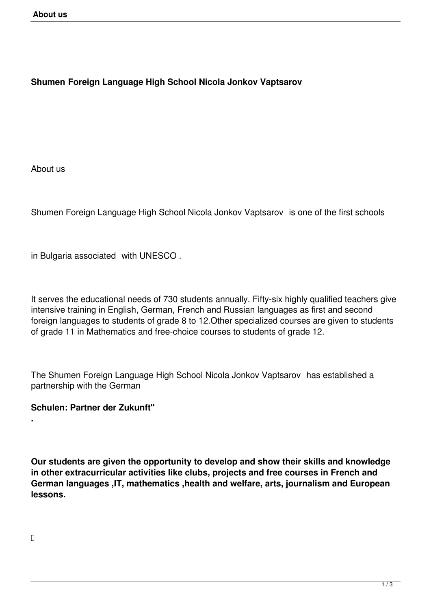## **Shumen Foreign Language High School Nicola Jonkov Vaptsarov**

About us

Shumen Foreign Language High School Nicola Jonkov Vaptsarov is one of the first schools

in Bulgaria associated with UNESCO .

It serves the educational needs of 730 students annually. Fifty-six highly qualified teachers give intensive training in English, German, French and Russian languages as first and second foreign languages to students of grade 8 to 12.Other specialized courses are given to students of grade 11 in Mathematics and free-choice courses to students of grade 12.

The Shumen Foreign Language High School Nicola Jonkov Vaptsarov has established a partnership with the German

## **Schulen: Partner der Zukunft"**

**Our students are given the opportunity to develop and show their skills and knowledge in other extracurricular activities like clubs, projects and free courses in French and German languages ,IT, mathematics ,health and welfare, arts, journalism and European lessons.**

**.**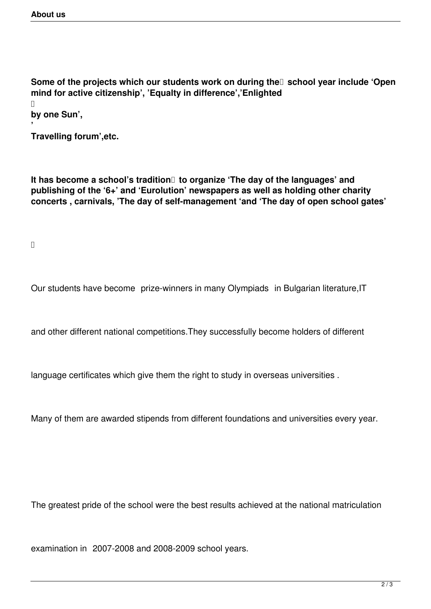Some of the projects which our students work on during the I school year include 'Open **mind for active citizenship', 'Equalty in difference','Enlighted**

 $\Box$ 

**by one Sun',** 

**' Travelling forum',etc.**

It has become a school's tradition<sup>[1]</sup> to organize 'The day of the languages' and **publishing of the '6+' and 'Eurolution' newspapers as well as holding other charity concerts , carnivals, 'The day of self-management 'and 'The day of open school gates'**

 $\Box$ 

Our students have become prize-winners in many Olympiads in Bulgarian literature,IT

and other different national competitions.They successfully become holders of different

language certificates which give them the right to study in overseas universities .

Many of them are awarded stipends from different foundations and universities every year.

The greatest pride of the school were the best results achieved at the national matriculation

examination in 2007-2008 and 2008-2009 school years.